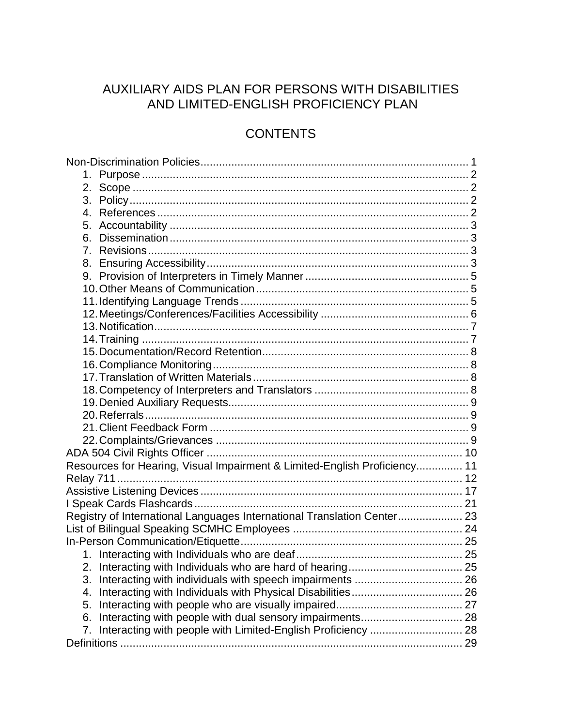# AUXILIARY AIDS PLAN FOR PERSONS WITH DISABILITIES AND LIMITED-ENGLISH PROFICIENCY PLAN

# **CONTENTS**

| Resources for Hearing, Visual Impairment & Limited-English Proficiency 11 |  |
|---------------------------------------------------------------------------|--|
|                                                                           |  |
|                                                                           |  |
|                                                                           |  |
| Registry of International Languages International Translation Center 23   |  |
|                                                                           |  |
|                                                                           |  |
|                                                                           |  |
|                                                                           |  |
| 3.                                                                        |  |
| 4.                                                                        |  |
| 5.                                                                        |  |
| 6.                                                                        |  |
| Interacting with people with Limited-English Proficiency  28<br>7.        |  |
|                                                                           |  |
|                                                                           |  |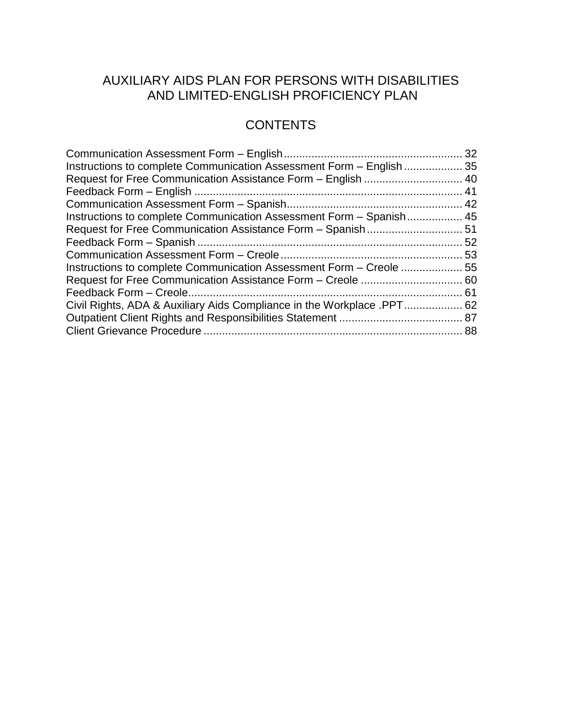# AUXILIARY AIDS PLAN FOR PERSONS WITH DISABILITIES AND LIMITED-ENGLISH PROFICIENCY PLAN

# **CONTENTS**

| Instructions to complete Communication Assessment Form - English  35 |  |
|----------------------------------------------------------------------|--|
|                                                                      |  |
|                                                                      |  |
|                                                                      |  |
| Instructions to complete Communication Assessment Form - Spanish 45  |  |
|                                                                      |  |
|                                                                      |  |
|                                                                      |  |
| Instructions to complete Communication Assessment Form – Creole  55  |  |
|                                                                      |  |
|                                                                      |  |
|                                                                      |  |
|                                                                      |  |
|                                                                      |  |
|                                                                      |  |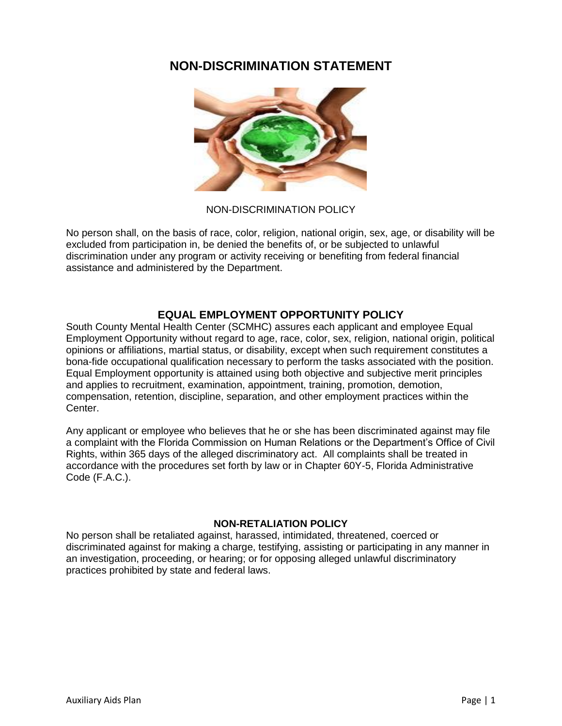# **NON-DISCRIMINATION STATEMENT**



NON-DISCRIMINATION POLICY

No person shall, on the basis of race, color, religion, national origin, sex, age, or disability will be excluded from participation in, be denied the benefits of, or be subjected to unlawful discrimination under any program or activity receiving or benefiting from federal financial assistance and administered by the Department.

## **EQUAL EMPLOYMENT OPPORTUNITY POLICY**

South County Mental Health Center (SCMHC) assures each applicant and employee Equal Employment Opportunity without regard to age, race, color, sex, religion, national origin, political opinions or affiliations, martial status, or disability, except when such requirement constitutes a bona-fide occupational qualification necessary to perform the tasks associated with the position. Equal Employment opportunity is attained using both objective and subjective merit principles and applies to recruitment, examination, appointment, training, promotion, demotion, compensation, retention, discipline, separation, and other employment practices within the Center.

Any applicant or employee who believes that he or she has been discriminated against may file a complaint with the Florida Commission on Human Relations or the Department's Office of Civil Rights, within 365 days of the alleged discriminatory act. All complaints shall be treated in accordance with the procedures set forth by law or in Chapter 60Y-5, Florida Administrative Code (F.A.C.).

#### **NON-RETALIATION POLICY**

No person shall be retaliated against, harassed, intimidated, threatened, coerced or discriminated against for making a charge, testifying, assisting or participating in any manner in an investigation, proceeding, or hearing; or for opposing alleged unlawful discriminatory practices prohibited by state and federal laws.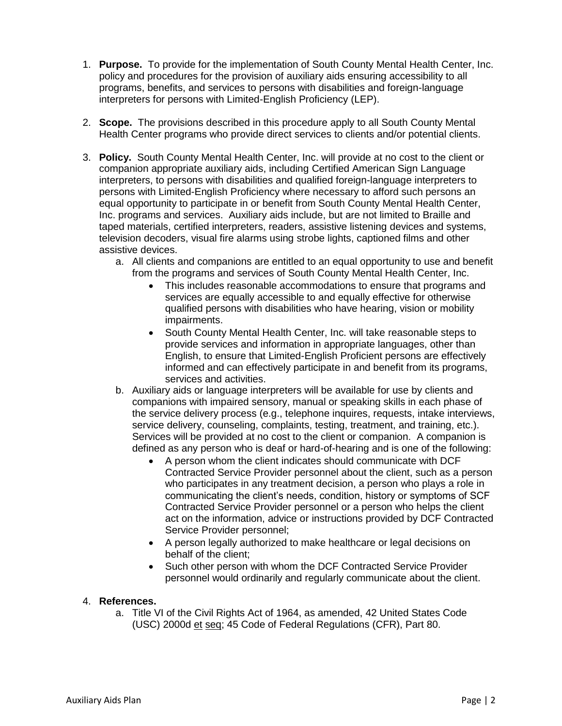- 1. **Purpose.** To provide for the implementation of South County Mental Health Center, Inc. policy and procedures for the provision of auxiliary aids ensuring accessibility to all programs, benefits, and services to persons with disabilities and foreign-language interpreters for persons with Limited-English Proficiency (LEP).
- 2. **Scope.** The provisions described in this procedure apply to all South County Mental Health Center programs who provide direct services to clients and/or potential clients.
- 3. **Policy.** South County Mental Health Center, Inc. will provide at no cost to the client or companion appropriate auxiliary aids, including Certified American Sign Language interpreters, to persons with disabilities and qualified foreign-language interpreters to persons with Limited-English Proficiency where necessary to afford such persons an equal opportunity to participate in or benefit from South County Mental Health Center, Inc. programs and services. Auxiliary aids include, but are not limited to Braille and taped materials, certified interpreters, readers, assistive listening devices and systems, television decoders, visual fire alarms using strobe lights, captioned films and other assistive devices.
	- a. All clients and companions are entitled to an equal opportunity to use and benefit from the programs and services of South County Mental Health Center, Inc.
		- This includes reasonable accommodations to ensure that programs and services are equally accessible to and equally effective for otherwise qualified persons with disabilities who have hearing, vision or mobility impairments.
		- South County Mental Health Center, Inc. will take reasonable steps to provide services and information in appropriate languages, other than English, to ensure that Limited-English Proficient persons are effectively informed and can effectively participate in and benefit from its programs, services and activities.
	- b. Auxiliary aids or language interpreters will be available for use by clients and companions with impaired sensory, manual or speaking skills in each phase of the service delivery process (e.g., telephone inquires, requests, intake interviews, service delivery, counseling, complaints, testing, treatment, and training, etc.). Services will be provided at no cost to the client or companion. A companion is defined as any person who is deaf or hard-of-hearing and is one of the following:
		- A person whom the client indicates should communicate with DCF Contracted Service Provider personnel about the client, such as a person who participates in any treatment decision, a person who plays a role in communicating the client's needs, condition, history or symptoms of SCF Contracted Service Provider personnel or a person who helps the client act on the information, advice or instructions provided by DCF Contracted Service Provider personnel;
		- A person legally authorized to make healthcare or legal decisions on behalf of the client;
		- Such other person with whom the DCF Contracted Service Provider personnel would ordinarily and regularly communicate about the client.

## 4. **References.**

a. Title VI of the Civil Rights Act of 1964, as amended, 42 United States Code (USC) 2000d et seq; 45 Code of Federal Regulations (CFR), Part 80.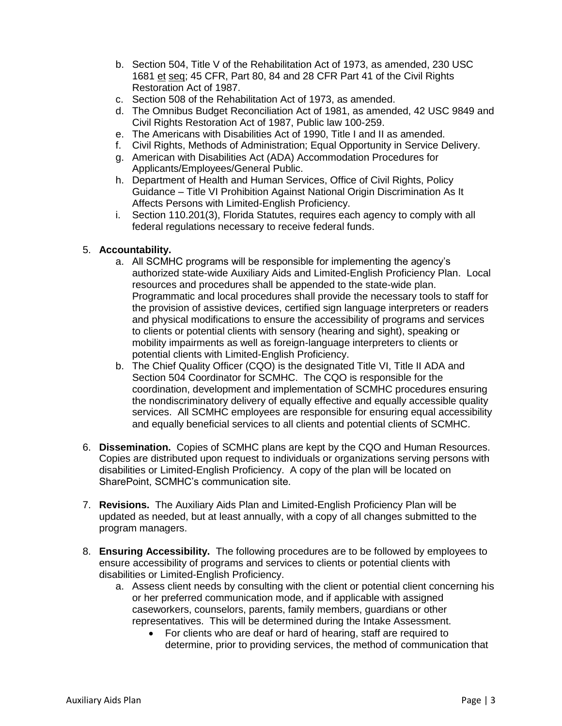- b. Section 504, Title V of the Rehabilitation Act of 1973, as amended, 230 USC 1681 et seq; 45 CFR, Part 80, 84 and 28 CFR Part 41 of the Civil Rights Restoration Act of 1987.
- c. Section 508 of the Rehabilitation Act of 1973, as amended.
- d. The Omnibus Budget Reconciliation Act of 1981, as amended, 42 USC 9849 and Civil Rights Restoration Act of 1987, Public law 100-259.
- e. The Americans with Disabilities Act of 1990, Title I and II as amended.
- f. Civil Rights, Methods of Administration; Equal Opportunity in Service Delivery.
- g. American with Disabilities Act (ADA) Accommodation Procedures for Applicants/Employees/General Public.
- h. Department of Health and Human Services, Office of Civil Rights, Policy Guidance – Title VI Prohibition Against National Origin Discrimination As It Affects Persons with Limited-English Proficiency.
- i. Section 110.201(3), Florida Statutes, requires each agency to comply with all federal regulations necessary to receive federal funds.

#### 5. **Accountability.**

- a. All SCMHC programs will be responsible for implementing the agency's authorized state-wide Auxiliary Aids and Limited-English Proficiency Plan. Local resources and procedures shall be appended to the state-wide plan. Programmatic and local procedures shall provide the necessary tools to staff for the provision of assistive devices, certified sign language interpreters or readers and physical modifications to ensure the accessibility of programs and services to clients or potential clients with sensory (hearing and sight), speaking or mobility impairments as well as foreign-language interpreters to clients or potential clients with Limited-English Proficiency.
- b. The Chief Quality Officer (CQO) is the designated Title VI, Title II ADA and Section 504 Coordinator for SCMHC. The CQO is responsible for the coordination, development and implementation of SCMHC procedures ensuring the nondiscriminatory delivery of equally effective and equally accessible quality services. All SCMHC employees are responsible for ensuring equal accessibility and equally beneficial services to all clients and potential clients of SCMHC.
- 6. **Dissemination.** Copies of SCMHC plans are kept by the CQO and Human Resources. Copies are distributed upon request to individuals or organizations serving persons with disabilities or Limited-English Proficiency. A copy of the plan will be located on SharePoint, SCMHC's communication site.
- 7. **Revisions.** The Auxiliary Aids Plan and Limited-English Proficiency Plan will be updated as needed, but at least annually, with a copy of all changes submitted to the program managers.
- 8. **Ensuring Accessibility.** The following procedures are to be followed by employees to ensure accessibility of programs and services to clients or potential clients with disabilities or Limited-English Proficiency.
	- a. Assess client needs by consulting with the client or potential client concerning his or her preferred communication mode, and if applicable with assigned caseworkers, counselors, parents, family members, guardians or other representatives. This will be determined during the Intake Assessment.
		- For clients who are deaf or hard of hearing, staff are required to determine, prior to providing services, the method of communication that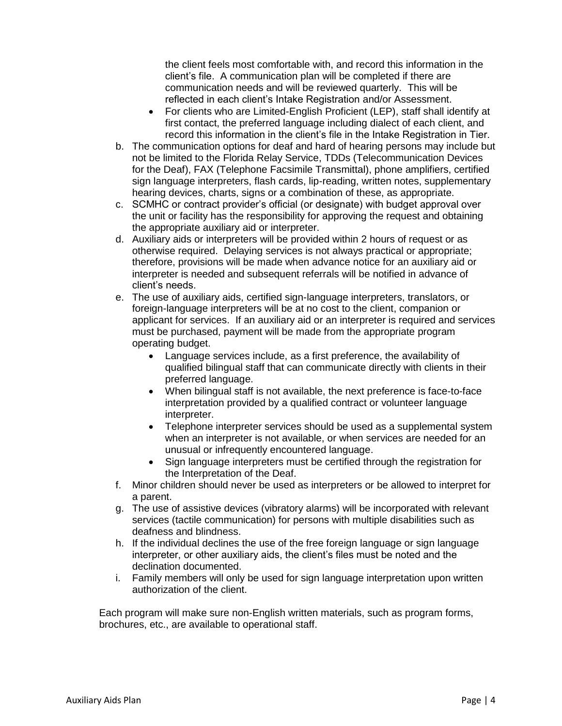the client feels most comfortable with, and record this information in the client's file. A communication plan will be completed if there are communication needs and will be reviewed quarterly. This will be reflected in each client's Intake Registration and/or Assessment.

- For clients who are Limited-English Proficient (LEP), staff shall identify at first contact, the preferred language including dialect of each client, and record this information in the client's file in the Intake Registration in Tier.
- b. The communication options for deaf and hard of hearing persons may include but not be limited to the Florida Relay Service, TDDs (Telecommunication Devices for the Deaf), FAX (Telephone Facsimile Transmittal), phone amplifiers, certified sign language interpreters, flash cards, lip-reading, written notes, supplementary hearing devices, charts, signs or a combination of these, as appropriate.
- c. SCMHC or contract provider's official (or designate) with budget approval over the unit or facility has the responsibility for approving the request and obtaining the appropriate auxiliary aid or interpreter.
- d. Auxiliary aids or interpreters will be provided within 2 hours of request or as otherwise required. Delaying services is not always practical or appropriate; therefore, provisions will be made when advance notice for an auxiliary aid or interpreter is needed and subsequent referrals will be notified in advance of client's needs.
- e. The use of auxiliary aids, certified sign-language interpreters, translators, or foreign-language interpreters will be at no cost to the client, companion or applicant for services. If an auxiliary aid or an interpreter is required and services must be purchased, payment will be made from the appropriate program operating budget.
	- Language services include, as a first preference, the availability of qualified bilingual staff that can communicate directly with clients in their preferred language.
	- When bilingual staff is not available, the next preference is face-to-face interpretation provided by a qualified contract or volunteer language interpreter.
	- Telephone interpreter services should be used as a supplemental system when an interpreter is not available, or when services are needed for an unusual or infrequently encountered language.
	- Sign language interpreters must be certified through the registration for the Interpretation of the Deaf.
- f. Minor children should never be used as interpreters or be allowed to interpret for a parent.
- g. The use of assistive devices (vibratory alarms) will be incorporated with relevant services (tactile communication) for persons with multiple disabilities such as deafness and blindness.
- h. If the individual declines the use of the free foreign language or sign language interpreter, or other auxiliary aids, the client's files must be noted and the declination documented.
- i. Family members will only be used for sign language interpretation upon written authorization of the client.

Each program will make sure non-English written materials, such as program forms, brochures, etc., are available to operational staff.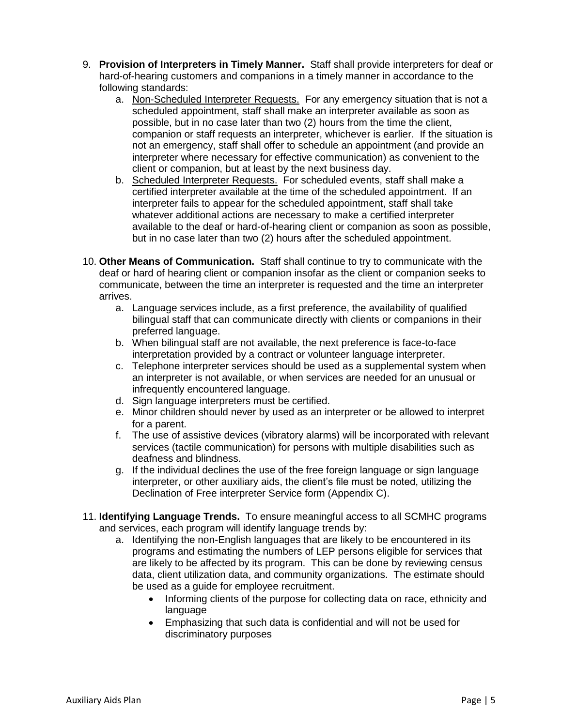- 9. **Provision of Interpreters in Timely Manner.** Staff shall provide interpreters for deaf or hard-of-hearing customers and companions in a timely manner in accordance to the following standards:
	- a. Non-Scheduled Interpreter Requests. For any emergency situation that is not a scheduled appointment, staff shall make an interpreter available as soon as possible, but in no case later than two (2) hours from the time the client, companion or staff requests an interpreter, whichever is earlier. If the situation is not an emergency, staff shall offer to schedule an appointment (and provide an interpreter where necessary for effective communication) as convenient to the client or companion, but at least by the next business day.
	- b. Scheduled Interpreter Requests. For scheduled events, staff shall make a certified interpreter available at the time of the scheduled appointment. If an interpreter fails to appear for the scheduled appointment, staff shall take whatever additional actions are necessary to make a certified interpreter available to the deaf or hard-of-hearing client or companion as soon as possible, but in no case later than two (2) hours after the scheduled appointment.
- 10. **Other Means of Communication.** Staff shall continue to try to communicate with the deaf or hard of hearing client or companion insofar as the client or companion seeks to communicate, between the time an interpreter is requested and the time an interpreter arrives.
	- a. Language services include, as a first preference, the availability of qualified bilingual staff that can communicate directly with clients or companions in their preferred language.
	- b. When bilingual staff are not available, the next preference is face-to-face interpretation provided by a contract or volunteer language interpreter.
	- c. Telephone interpreter services should be used as a supplemental system when an interpreter is not available, or when services are needed for an unusual or infrequently encountered language.
	- d. Sign language interpreters must be certified.
	- e. Minor children should never by used as an interpreter or be allowed to interpret for a parent.
	- f. The use of assistive devices (vibratory alarms) will be incorporated with relevant services (tactile communication) for persons with multiple disabilities such as deafness and blindness.
	- g. If the individual declines the use of the free foreign language or sign language interpreter, or other auxiliary aids, the client's file must be noted, utilizing the Declination of Free interpreter Service form (Appendix C).
- 11. **Identifying Language Trends.** To ensure meaningful access to all SCMHC programs and services, each program will identify language trends by:
	- a. Identifying the non-English languages that are likely to be encountered in its programs and estimating the numbers of LEP persons eligible for services that are likely to be affected by its program. This can be done by reviewing census data, client utilization data, and community organizations. The estimate should be used as a guide for employee recruitment.
		- Informing clients of the purpose for collecting data on race, ethnicity and language
		- Emphasizing that such data is confidential and will not be used for discriminatory purposes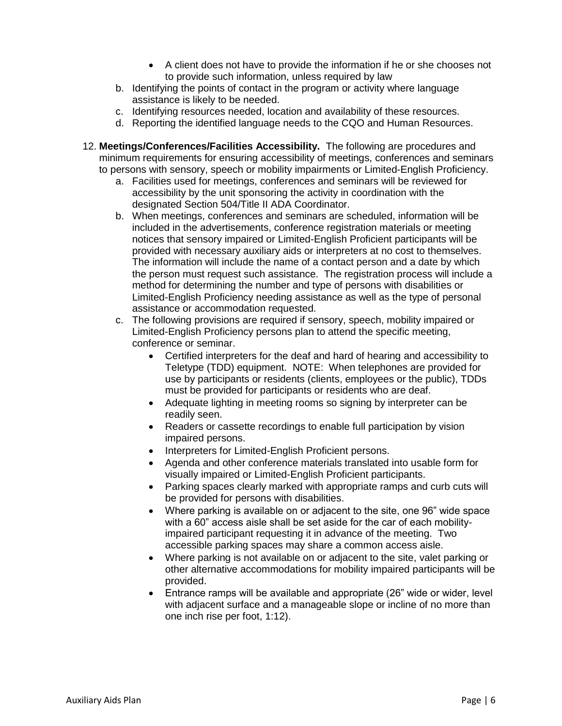- A client does not have to provide the information if he or she chooses not to provide such information, unless required by law
- b. Identifying the points of contact in the program or activity where language assistance is likely to be needed.
- c. Identifying resources needed, location and availability of these resources.
- d. Reporting the identified language needs to the CQO and Human Resources.
- 12. **Meetings/Conferences/Facilities Accessibility.** The following are procedures and minimum requirements for ensuring accessibility of meetings, conferences and seminars to persons with sensory, speech or mobility impairments or Limited-English Proficiency.
	- a. Facilities used for meetings, conferences and seminars will be reviewed for accessibility by the unit sponsoring the activity in coordination with the designated Section 504/Title II ADA Coordinator.
	- b. When meetings, conferences and seminars are scheduled, information will be included in the advertisements, conference registration materials or meeting notices that sensory impaired or Limited-English Proficient participants will be provided with necessary auxiliary aids or interpreters at no cost to themselves. The information will include the name of a contact person and a date by which the person must request such assistance. The registration process will include a method for determining the number and type of persons with disabilities or Limited-English Proficiency needing assistance as well as the type of personal assistance or accommodation requested.
	- c. The following provisions are required if sensory, speech, mobility impaired or Limited-English Proficiency persons plan to attend the specific meeting, conference or seminar.
		- Certified interpreters for the deaf and hard of hearing and accessibility to Teletype (TDD) equipment. NOTE: When telephones are provided for use by participants or residents (clients, employees or the public), TDDs must be provided for participants or residents who are deaf.
		- Adequate lighting in meeting rooms so signing by interpreter can be readily seen.
		- Readers or cassette recordings to enable full participation by vision impaired persons.
		- Interpreters for Limited-English Proficient persons.
		- Agenda and other conference materials translated into usable form for visually impaired or Limited-English Proficient participants.
		- Parking spaces clearly marked with appropriate ramps and curb cuts will be provided for persons with disabilities.
		- Where parking is available on or adjacent to the site, one 96" wide space with a 60" access aisle shall be set aside for the car of each mobilityimpaired participant requesting it in advance of the meeting. Two accessible parking spaces may share a common access aisle.
		- Where parking is not available on or adjacent to the site, valet parking or other alternative accommodations for mobility impaired participants will be provided.
		- Entrance ramps will be available and appropriate (26" wide or wider, level with adjacent surface and a manageable slope or incline of no more than one inch rise per foot, 1:12).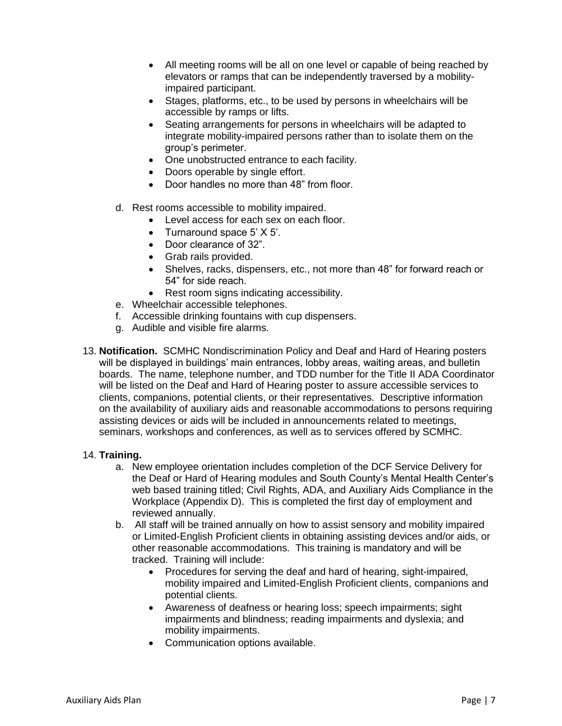- All meeting rooms will be all on one level or capable of being reached by elevators or ramps that can be independently traversed by a mobilityimpaired participant.
- Stages, platforms, etc., to be used by persons in wheelchairs will be accessible by ramps or lifts.
- Seating arrangements for persons in wheelchairs will be adapted to integrate mobility-impaired persons rather than to isolate them on the group's perimeter.
- One unobstructed entrance to each facility.
- Doors operable by single effort.
- Door handles no more than 48" from floor.
- d. Rest rooms accessible to mobility impaired.
	- Level access for each sex on each floor.
	- Turnaround space 5' X 5'.
	- Door clearance of 32".
	- Grab rails provided.
	- Shelves, racks, dispensers, etc., not more than 48" for forward reach or 54" for side reach.
	- Rest room signs indicating accessibility.
- e. Wheelchair accessible telephones.
- f. Accessible drinking fountains with cup dispensers.
- g. Audible and visible fire alarms.
- 13. **Notification.** SCMHC Nondiscrimination Policy and Deaf and Hard of Hearing posters will be displayed in buildings' main entrances, lobby areas, waiting areas, and bulletin boards. The name, telephone number, and TDD number for the Title II ADA Coordinator will be listed on the Deaf and Hard of Hearing poster to assure accessible services to clients, companions, potential clients, or their representatives. Descriptive information on the availability of auxiliary aids and reasonable accommodations to persons requiring assisting devices or aids will be included in announcements related to meetings, seminars, workshops and conferences, as well as to services offered by SCMHC.

#### 14. **Training.**

- a. New employee orientation includes completion of the DCF Service Delivery for the Deaf or Hard of Hearing modules and South County's Mental Health Center's web based training titled; Civil Rights, ADA, and Auxiliary Aids Compliance in the Workplace (Appendix D). This is completed the first day of employment and reviewed annually.
- b. All staff will be trained annually on how to assist sensory and mobility impaired or Limited-English Proficient clients in obtaining assisting devices and/or aids, or other reasonable accommodations. This training is mandatory and will be tracked. Training will include:
	- Procedures for serving the deaf and hard of hearing, sight-impaired, mobility impaired and Limited-English Proficient clients, companions and potential clients.
	- Awareness of deafness or hearing loss; speech impairments; sight impairments and blindness; reading impairments and dyslexia; and mobility impairments.
	- Communication options available.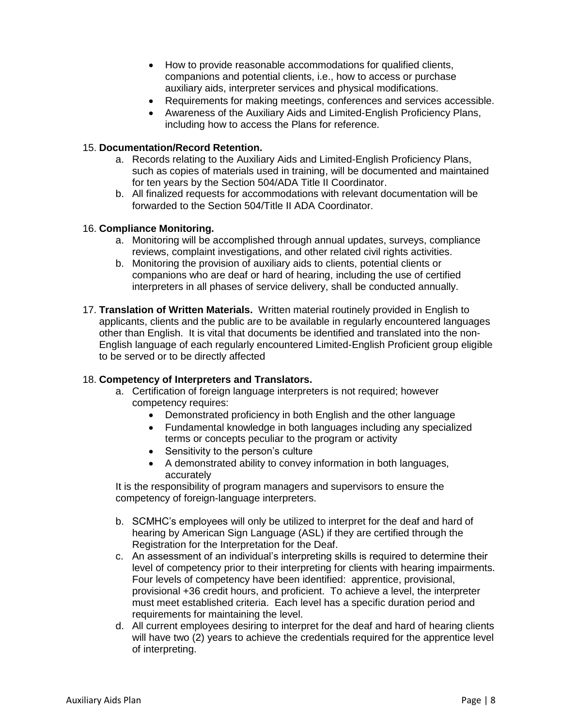- How to provide reasonable accommodations for qualified clients, companions and potential clients, i.e., how to access or purchase auxiliary aids, interpreter services and physical modifications.
- Requirements for making meetings, conferences and services accessible.
- Awareness of the Auxiliary Aids and Limited-English Proficiency Plans, including how to access the Plans for reference.

#### 15. **Documentation/Record Retention.**

- a. Records relating to the Auxiliary Aids and Limited-English Proficiency Plans, such as copies of materials used in training, will be documented and maintained for ten years by the Section 504/ADA Title II Coordinator.
- b. All finalized requests for accommodations with relevant documentation will be forwarded to the Section 504/Title II ADA Coordinator.

#### 16. **Compliance Monitoring.**

- a. Monitoring will be accomplished through annual updates, surveys, compliance reviews, complaint investigations, and other related civil rights activities.
- b. Monitoring the provision of auxiliary aids to clients, potential clients or companions who are deaf or hard of hearing, including the use of certified interpreters in all phases of service delivery, shall be conducted annually.
- 17. **Translation of Written Materials.** Written material routinely provided in English to applicants, clients and the public are to be available in regularly encountered languages other than English. It is vital that documents be identified and translated into the non-English language of each regularly encountered Limited-English Proficient group eligible to be served or to be directly affected

#### 18. **Competency of Interpreters and Translators.**

- a. Certification of foreign language interpreters is not required; however competency requires:
	- Demonstrated proficiency in both English and the other language
	- Fundamental knowledge in both languages including any specialized terms or concepts peculiar to the program or activity
	- Sensitivity to the person's culture
	- A demonstrated ability to convey information in both languages, accurately

It is the responsibility of program managers and supervisors to ensure the competency of foreign-language interpreters.

- b. SCMHC's employees will only be utilized to interpret for the deaf and hard of hearing by American Sign Language (ASL) if they are certified through the Registration for the Interpretation for the Deaf.
- c. An assessment of an individual's interpreting skills is required to determine their level of competency prior to their interpreting for clients with hearing impairments. Four levels of competency have been identified: apprentice, provisional, provisional +36 credit hours, and proficient. To achieve a level, the interpreter must meet established criteria. Each level has a specific duration period and requirements for maintaining the level.
- d. All current employees desiring to interpret for the deaf and hard of hearing clients will have two (2) years to achieve the credentials required for the apprentice level of interpreting.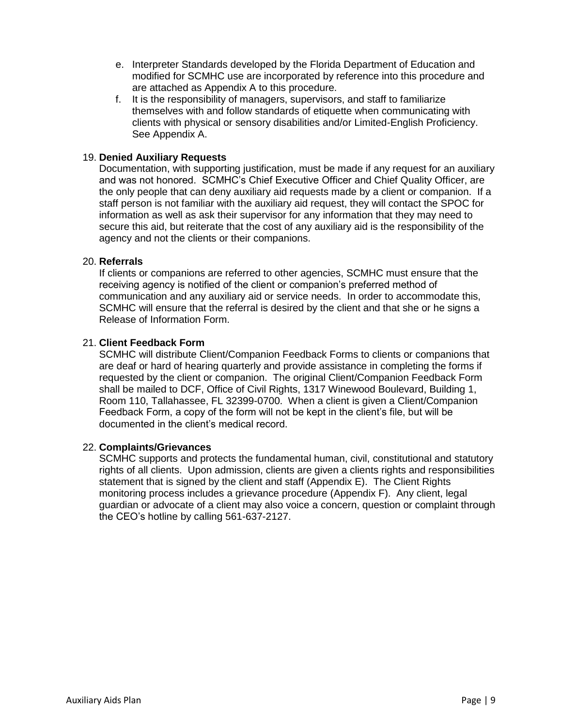- e. Interpreter Standards developed by the Florida Department of Education and modified for SCMHC use are incorporated by reference into this procedure and are attached as Appendix A to this procedure.
- f. It is the responsibility of managers, supervisors, and staff to familiarize themselves with and follow standards of etiquette when communicating with clients with physical or sensory disabilities and/or Limited-English Proficiency. See Appendix A.

#### 19. **Denied Auxiliary Requests**

Documentation, with supporting justification, must be made if any request for an auxiliary and was not honored. SCMHC's Chief Executive Officer and Chief Quality Officer, are the only people that can deny auxiliary aid requests made by a client or companion. If a staff person is not familiar with the auxiliary aid request, they will contact the SPOC for information as well as ask their supervisor for any information that they may need to secure this aid, but reiterate that the cost of any auxiliary aid is the responsibility of the agency and not the clients or their companions.

#### 20. **Referrals**

If clients or companions are referred to other agencies, SCMHC must ensure that the receiving agency is notified of the client or companion's preferred method of communication and any auxiliary aid or service needs. In order to accommodate this, SCMHC will ensure that the referral is desired by the client and that she or he signs a Release of Information Form.

#### 21. **Client Feedback Form**

SCMHC will distribute Client/Companion Feedback Forms to clients or companions that are deaf or hard of hearing quarterly and provide assistance in completing the forms if requested by the client or companion. The original Client/Companion Feedback Form shall be mailed to DCF, Office of Civil Rights, 1317 Winewood Boulevard, Building 1, Room 110, Tallahassee, FL 32399-0700. When a client is given a Client/Companion Feedback Form, a copy of the form will not be kept in the client's file, but will be documented in the client's medical record.

#### 22. **Complaints/Grievances**

SCMHC supports and protects the fundamental human, civil, constitutional and statutory rights of all clients. Upon admission, clients are given a clients rights and responsibilities statement that is signed by the client and staff (Appendix E). The Client Rights monitoring process includes a grievance procedure (Appendix F). Any client, legal guardian or advocate of a client may also voice a concern, question or complaint through the CEO's hotline by calling 561-637-2127.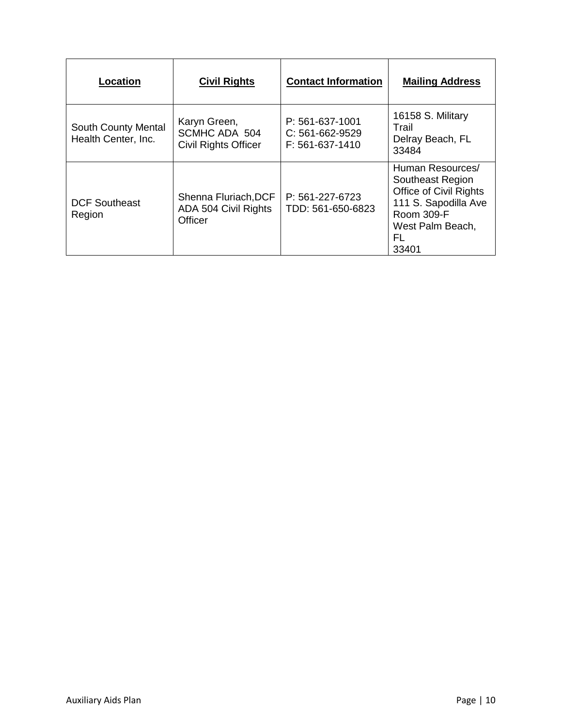| Location                                          | <b>Civil Rights</b>                                            | <b>Contact Information</b>                              | <b>Mailing Address</b>                                                                                                                                |
|---------------------------------------------------|----------------------------------------------------------------|---------------------------------------------------------|-------------------------------------------------------------------------------------------------------------------------------------------------------|
| <b>South County Mental</b><br>Health Center, Inc. | Karyn Green,<br>SCMHC ADA 504<br><b>Civil Rights Officer</b>   | P: 561-637-1001<br>$C: 561-662-9529$<br>F: 561-637-1410 | 16158 S. Military<br>Trail<br>Delray Beach, FL<br>33484                                                                                               |
| <b>DCF Southeast</b><br>Region                    | Shenna Fluriach, DCF<br>ADA 504 Civil Rights<br><b>Officer</b> | P: 561-227-6723<br>TDD: 561-650-6823                    | Human Resources/<br>Southeast Region<br><b>Office of Civil Rights</b><br>111 S. Sapodilla Ave<br><b>Room 309-F</b><br>West Palm Beach,<br>FL<br>33401 |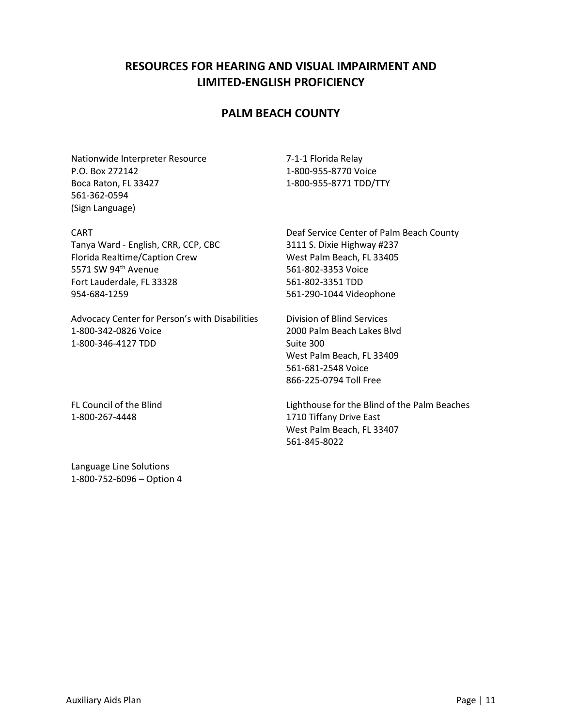# **RESOURCES FOR HEARING AND VISUAL IMPAIRMENT AND LIMITED-ENGLISH PROFICIENCY**

# **PALM BEACH COUNTY**

Nationwide Interpreter Resource P.O. Box 272142 Boca Raton, FL 33427 561-362-0594 (Sign Language)

CART

Tanya Ward - English, CRR, CCP, CBC Florida Realtime/Caption Crew 5571 SW 94<sup>th</sup> Avenue Fort Lauderdale, FL 33328 954-684-1259

Advocacy Center for Person's with Disabilities 1-800-342-0826 Voice 1-800-346-4127 TDD

FL Council of the Blind 1-800-267-4448

Language Line Solutions 1-800-752-6096 – Option 4 7-1-1 Florida Relay 1-800-955-8770 Voice 1-800-955-8771 TDD/TTY

Deaf Service Center of Palm Beach County 3111 S. Dixie Highway #237 West Palm Beach, FL 33405 561-802-3353 Voice 561-802-3351 TDD 561-290-1044 Videophone

Division of Blind Services 2000 Palm Beach Lakes Blvd Suite 300 West Palm Beach, FL 33409 561-681-2548 Voice 866-225-0794 Toll Free

Lighthouse for the Blind of the Palm Beaches 1710 Tiffany Drive East West Palm Beach, FL 33407 561-845-8022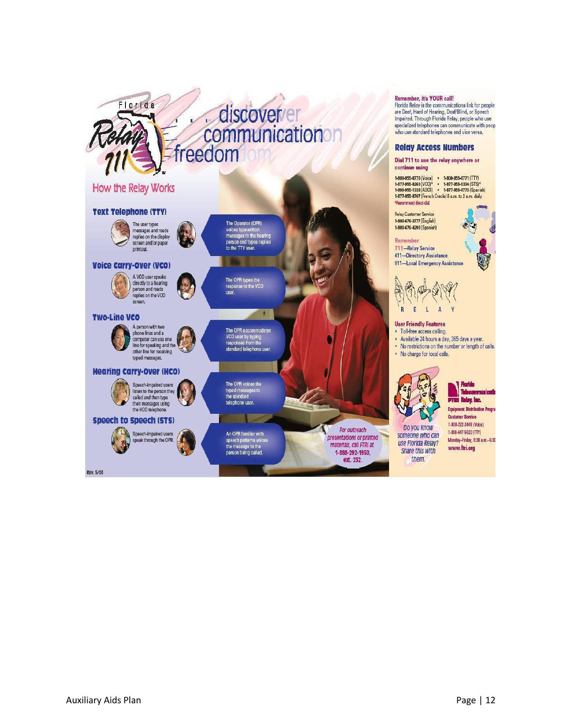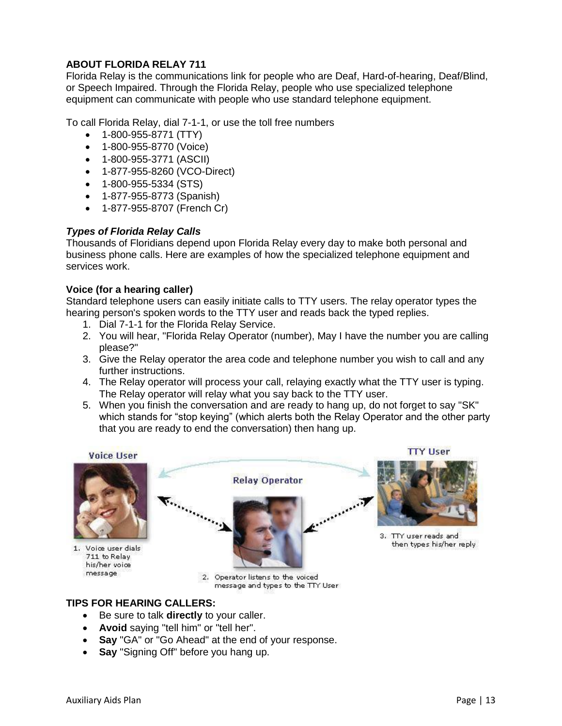### **ABOUT FLORIDA RELAY 711**

Florida Relay is the communications link for people who are Deaf, Hard-of-hearing, Deaf/Blind, or Speech Impaired. Through the Florida Relay, people who use specialized telephone equipment can communicate with people who use standard telephone equipment.

To call Florida Relay, dial 7-1-1, or use the toll free numbers

- 1-800-955-8771 (TTY)
- 1-800-955-8770 (Voice)
- 1-800-955-3771 (ASCII)
- 1-877-955-8260 (VCO-Direct)
- 1-800-955-5334 (STS)
- 1-877-955-8773 (Spanish)
- 1-877-955-8707 (French Cr)

### *Types of Florida Relay Calls*

Thousands of Floridians depend upon Florida Relay every day to make both personal and business phone calls. Here are examples of how the specialized telephone equipment and services work.

#### **Voice (for a hearing caller)**

Standard telephone users can easily initiate calls to TTY users. The relay operator types the hearing person's spoken words to the TTY user and reads back the typed replies.

- 1. Dial 7-1-1 for the Florida Relay Service.
- 2. You will hear, "Florida Relay Operator (number), May I have the number you are calling please?"
- 3. Give the Relay operator the area code and telephone number you wish to call and any further instructions.
- 4. The Relay operator will process your call, relaying exactly what the TTY user is typing. The Relay operator will relay what you say back to the TTY user.
- 5. When you finish the conversation and are ready to hang up, do not forget to say "SK" which stands for "stop keying" (which alerts both the Relay Operator and the other party that you are ready to end the conversation) then hang up.

**Voice User** 

1. Voice user dials 711 to Relay his/her voice message



2. Operator listens to the voiced message and types to the TTY User

## **TIPS FOR HEARING CALLERS:**

- Be sure to talk **directly** to your caller.
- **Avoid** saying "tell him" or "tell her".
- **Say** "GA" or "Go Ahead" at the end of your response.
- **Say** "Signing Off" before you hang up.

**TTY User** 

3. TTY user reads and then types his/her reply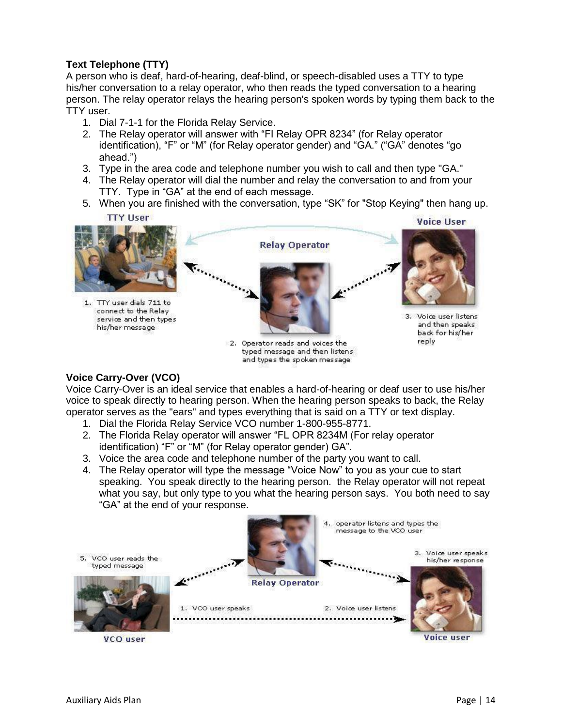## **Text Telephone (TTY)**

A person who is deaf, hard-of-hearing, deaf-blind, or speech-disabled uses a TTY to type his/her conversation to a relay operator, who then reads the typed conversation to a hearing person. The relay operator relays the hearing person's spoken words by typing them back to the TTY user.

- 1. Dial 7-1-1 for the Florida Relay Service.
- 2. The Relay operator will answer with "FI Relay OPR 8234" (for Relay operator identification), "F" or "M" (for Relay operator gender) and "GA." ("GA" denotes "go ahead.")
- 3. Type in the area code and telephone number you wish to call and then type "GA."
- 4. The Relay operator will dial the number and relay the conversation to and from your TTY. Type in "GA" at the end of each message.
- 5. When you are finished with the conversation, type "SK" for "Stop Keying" then hang up.





typed message and then listens and types the spoken message

#### **Voice Carry-Over (VCO)**

Voice Carry-Over is an ideal service that enables a hard-of-hearing or deaf user to use his/her voice to speak directly to hearing person. When the hearing person speaks to back, the Relay operator serves as the "ears" and types everything that is said on a TTY or text display.

- 1. Dial the Florida Relay Service VCO number 1-800-955-8771.
- 2. The Florida Relay operator will answer "FL OPR 8234M (For relay operator identification) "F" or "M" (for Relay operator gender) GA".
- 3. Voice the area code and telephone number of the party you want to call.
- 4. The Relay operator will type the message "Voice Now" to you as your cue to start speaking. You speak directly to the hearing person. the Relay operator will not repeat what you say, but only type to you what the hearing person says. You both need to say "GA" at the end of your response.

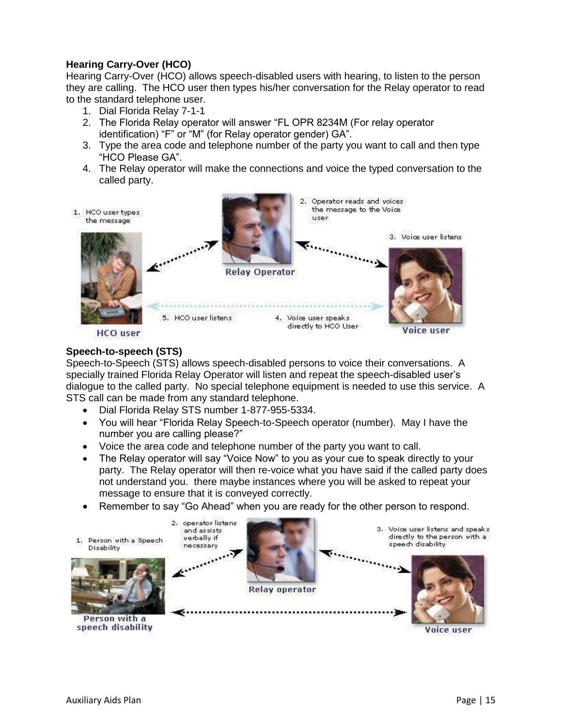## **Hearing Carry-Over (HCO)**

Hearing Carry-Over (HCO) allows speech-disabled users with hearing, to listen to the person they are calling. The HCO user then types his/her conversation for the Relay operator to read to the standard telephone user.

- 1. Dial Florida Relay 7-1-1
- 2. The Florida Relay operator will answer "FL OPR 8234M (For relay operator identification) "F" or "M" (for Relay operator gender) GA".
- 3. Type the area code and telephone number of the party you want to call and then type "HCO Please GA".
- 4. The Relay operator will make the connections and voice the typed conversation to the called party.



**HCO** user

#### **Speech-to-speech (STS)**

Speech-to-Speech (STS) allows speech-disabled persons to voice their conversations. A specially trained Florida Relay Operator will listen and repeat the speech-disabled user's dialogue to the called party. No special telephone equipment is needed to use this service. A STS call can be made from any standard telephone.

- Dial Florida Relay STS number 1-877-955-5334.
- You will hear "Florida Relay Speech-to-Speech operator (number). May I have the number you are calling please?"
- Voice the area code and telephone number of the party you want to call.
- The Relay operator will say "Voice Now" to you as your cue to speak directly to your party. The Relay operator will then re-voice what you have said if the called party does not understand you. there maybe instances where you will be asked to repeat your message to ensure that it is conveyed correctly.
- Remember to say "Go Ahead" when you are ready for the other person to respond.



Voice user